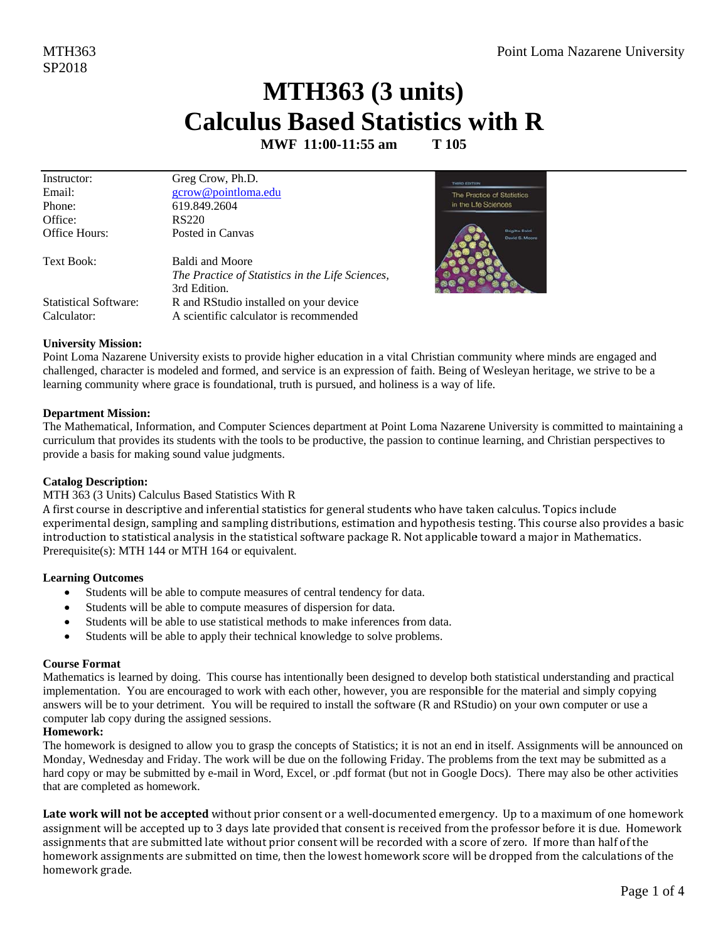### MTH363 (3 units) **Calculus Based Statistics with R**

MWF 11:00-11:55 am T 105

| Instructor:                  | Greg Crow, Ph.D.                                |
|------------------------------|-------------------------------------------------|
| Email:                       | gcrow@pointloma.edu                             |
| Phone:                       | 619.849.2604                                    |
| Office:                      | RS220                                           |
| Office Hours:                | Posted in Canvas                                |
| Text Book:                   | Baldi and Moore                                 |
|                              | The Practice of Statistics in the Life Sciences |
|                              | 3rd Edition.                                    |
| <b>Statistical Software:</b> | R and RStudio installed on your device          |
| Calculator:                  | A scientific calculator is recommended          |
|                              |                                                 |



#### **University Mission:**

Point Loma Nazarene University exists to provide higher education in a vital Christian community where minds are engaged and challenged, character is modeled and formed, and service is an expression of faith. Being of Wesleyan heritage, we strive to be a learning community where grace is foundational, truth is pursued, and holiness is a way of life.

#### **Department Mission:**

The Mathematical, Information, and Computer Sciences department at Point Loma Nazarene University is committed to maintaining a curriculum that provides its students with the tools to be productive, the passion to continue learning, and Christian perspectives to provide a basis for making sound value judgments.

#### **Catalog Description:**

#### MTH 363 (3 Units) Calculus Based Statistics With R

A first course in descriptive and inferential statistics for general students who have taken calculus. Topics include experimental design, sampling and sampling distributions, estimation and hypothesis testing. This course also provides a basic introduction to statistical analysis in the statistical software package R. Not applicable toward a major in Mathematics. Prerequisite(s): MTH 144 or MTH 164 or equivalent.

#### **Learning Outcomes**

- $\bullet$ Students will be able to compute measures of central tendency for data.
- Students will be able to compute measures of dispersion for data.
- Students will be able to use statistical methods to make inferences from data.
- Students will be able to apply their technical knowledge to solve problems.

#### **Course Format**

Mathematics is learned by doing. This course has intentionally been designed to develop both statistical understanding and practical implementation. You are encouraged to work with each other, however, you are responsible for the material and simply copying answers will be to your detriment. You will be required to install the software (R and RStudio) on your own computer or use a computer lab copy during the assigned sessions.

#### Homework:

The homework is designed to allow you to grasp the concepts of Statistics; it is not an end in itself. Assignments will be announced on Monday, Wednesday and Friday. The work will be due on the following Friday. The problems from the text may be submitted as a hard copy or may be submitted by e-mail in Word, Excel, or .pdf format (but not in Google Docs). There may also be other activities that are completed as homework.

Late work will not be accepted without prior consent or a well-documented emergency. Up to a maximum of one homework assignment will be accepted up to 3 days late provided that consent is received from the professor before it is due. Homework assignments that are submitted late without prior consent will be recorded with a score of zero. If more than half of the homework assignments are submitted on time, then the lowest homework score will be dropped from the calculations of the homework grade.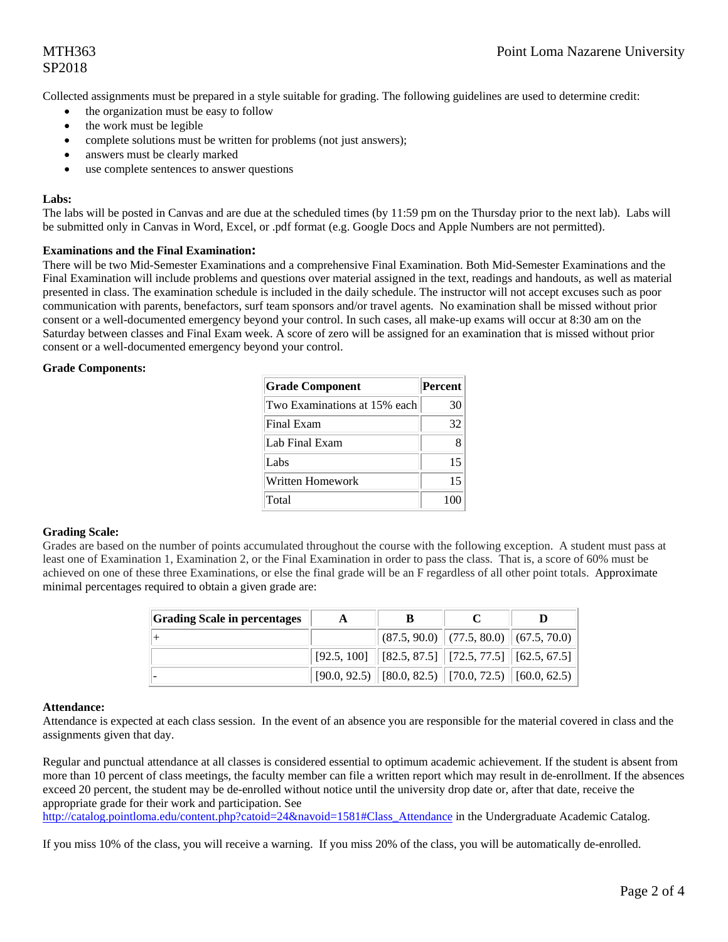# SP2018

Collected assignments must be prepared in a style suitable for grading. The following guidelines are used to determine credit:

- the organization must be easy to follow
- the work must be legible
- complete solutions must be written for problems (not just answers);
- answers must be clearly marked
- use complete sentences to answer questions

#### **Labs:**

The labs will be posted in Canvas and are due at the scheduled times (by 11:59 pm on the Thursday prior to the next lab). Labs will be submitted only in Canvas in Word, Excel, or .pdf format (e.g. Google Docs and Apple Numbers are not permitted).

#### **Examinations and the Final Examination:**

There will be two Mid-Semester Examinations and a comprehensive Final Examination. Both Mid-Semester Examinations and the Final Examination will include problems and questions over material assigned in the text, readings and handouts, as well as material presented in class. The examination schedule is included in the daily schedule. The instructor will not accept excuses such as poor communication with parents, benefactors, surf team sponsors and/or travel agents. No examination shall be missed without prior consent or a well-documented emergency beyond your control. In such cases, all make-up exams will occur at 8:30 am on the Saturday between classes and Final Exam week. A score of zero will be assigned for an examination that is missed without prior consent or a well-documented emergency beyond your control.

#### **Grade Components:**

| <b>Grade Component</b>       | Percent |
|------------------------------|---------|
| Two Examinations at 15% each | 30      |
| Final Exam                   | 32      |
| Lab Final Exam               | 8       |
| Labs                         | 15      |
| Written Homework             | 15      |
| Total                        | 100     |

#### **Grading Scale:**

Grades are based on the number of points accumulated throughout the course with the following exception. A student must pass at least one of Examination 1, Examination 2, or the Final Examination in order to pass the class. That is, a score of 60% must be achieved on one of these three Examinations, or else the final grade will be an F regardless of all other point totals. Approximate minimal percentages required to obtain a given grade are:

| <b>Grading Scale in percentages</b> |                                                                                       |  |
|-------------------------------------|---------------------------------------------------------------------------------------|--|
|                                     | $\ $ (87.5, 90.0) $\ $ (77.5, 80.0) $\ $ (67.5, 70.0) $\ $                            |  |
|                                     | $\mid$ [92.5, 100] $\mid$ [82.5, 87.5] $\mid$ [72.5, 77.5] $\mid$ [62.5, 67.5] $\mid$ |  |
|                                     | $[90.0, 92.5)$ $[80.0, 82.5)$ $[70.0, 72.5)$ $[60.0, 62.5)$                           |  |

#### **Attendance:**

Attendance is expected at each class session. In the event of an absence you are responsible for the material covered in class and the assignments given that day.

Regular and punctual attendance at all classes is considered essential to optimum academic achievement. If the student is absent from more than 10 percent of class meetings, the faculty member can file a written report which may result in de-enrollment. If the absences exceed 20 percent, the student may be de-enrolled without notice until the university drop date or, after that date, receive the appropriate grade for their work and participation. See

http://catalog.pointloma.edu/content.php?catoid=24&navoid=1581#Class\_Attendance in the Undergraduate Academic Catalog.

If you miss 10% of the class, you will receive a warning. If you miss 20% of the class, you will be automatically de-enrolled.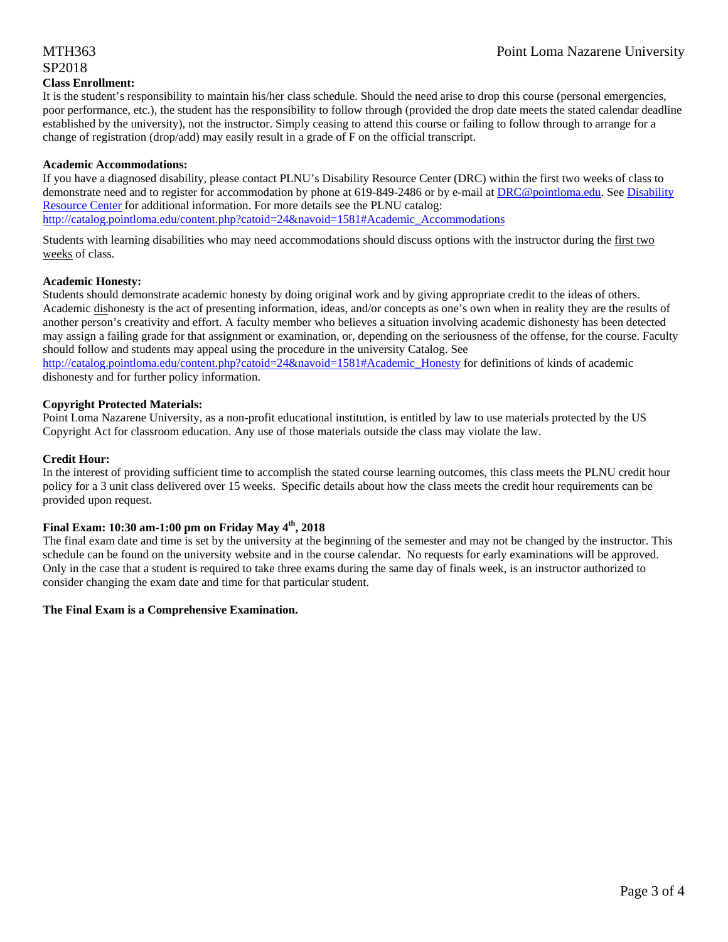### SP2018 **Class Enrollment:**

It is the student's responsibility to maintain his/her class schedule. Should the need arise to drop this course (personal emergencies, poor performance, etc.), the student has the responsibility to follow through (provided the drop date meets the stated calendar deadline established by the university), not the instructor. Simply ceasing to attend this course or failing to follow through to arrange for a change of registration (drop/add) may easily result in a grade of F on the official transcript.

#### **Academic Accommodations:**

If you have a diagnosed disability, please contact PLNU's Disability Resource Center (DRC) within the first two weeks of class to demonstrate need and to register for accommodation by phone at 619-849-2486 or by e-mail at DRC@pointloma.edu. See Disability Resource Center for additional information. For more details see the PLNU catalog: http://catalog.pointloma.edu/content.php?catoid=24&navoid=1581#Academic\_Accommodations

Students with learning disabilities who may need accommodations should discuss options with the instructor during the first two weeks of class.

#### **Academic Honesty:**

Students should demonstrate academic honesty by doing original work and by giving appropriate credit to the ideas of others. Academic dishonesty is the act of presenting information, ideas, and/or concepts as one's own when in reality they are the results of another person's creativity and effort. A faculty member who believes a situation involving academic dishonesty has been detected may assign a failing grade for that assignment or examination, or, depending on the seriousness of the offense, for the course. Faculty should follow and students may appeal using the procedure in the university Catalog. See

http://catalog.pointloma.edu/content.php?catoid=24&navoid=1581#Academic\_Honesty for definitions of kinds of academic dishonesty and for further policy information.

#### **Copyright Protected Materials:**

Point Loma Nazarene University, as a non-profit educational institution, is entitled by law to use materials protected by the US Copyright Act for classroom education. Any use of those materials outside the class may violate the law.

#### **Credit Hour:**

In the interest of providing sufficient time to accomplish the stated course learning outcomes, this class meets the PLNU credit hour policy for a 3 unit class delivered over 15 weeks. Specific details about how the class meets the credit hour requirements can be provided upon request.

#### **Final Exam: 10:30 am-1:00 pm on Friday May 4th, 2018**

The final exam date and time is set by the university at the beginning of the semester and may not be changed by the instructor. This schedule can be found on the university website and in the course calendar. No requests for early examinations will be approved. Only in the case that a student is required to take three exams during the same day of finals week, is an instructor authorized to consider changing the exam date and time for that particular student.

#### **The Final Exam is a Comprehensive Examination.**